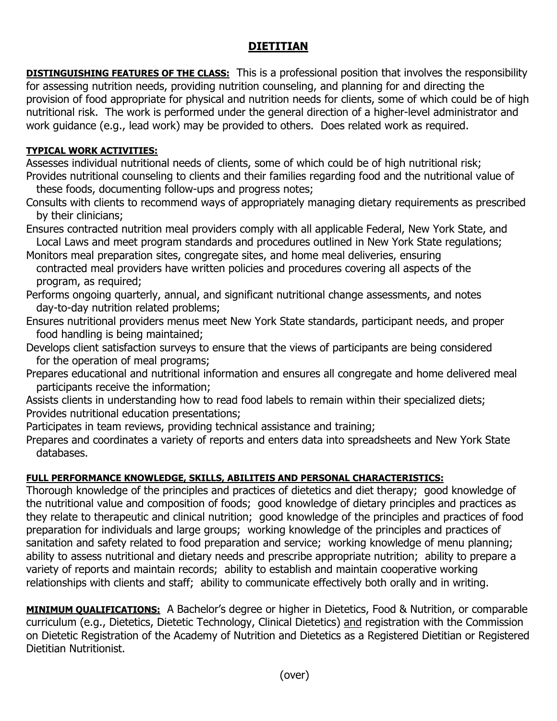## **DIETITIAN**

**DISTINGUISHING FEATURES OF THE CLASS:** This is a professional position that involves the responsibility for assessing nutrition needs, providing nutrition counseling, and planning for and directing the provision of food appropriate for physical and nutrition needs for clients, some of which could be of high nutritional risk. The work is performed under the general direction of a higher-level administrator and work guidance (e.g., lead work) may be provided to others. Does related work as required.

## **TYPICAL WORK ACTIVITIES:**

Assesses individual nutritional needs of clients, some of which could be of high nutritional risk; Provides nutritional counseling to clients and their families regarding food and the nutritional value of these foods, documenting follow-ups and progress notes;

Consults with clients to recommend ways of appropriately managing dietary requirements as prescribed by their clinicians;

Ensures contracted nutrition meal providers comply with all applicable Federal, New York State, and Local Laws and meet program standards and procedures outlined in New York State regulations;

Monitors meal preparation sites, congregate sites, and home meal deliveries, ensuring contracted meal providers have written policies and procedures covering all aspects of the program, as required;

Performs ongoing quarterly, annual, and significant nutritional change assessments, and notes day-to-day nutrition related problems;

- Ensures nutritional providers menus meet New York State standards, participant needs, and proper food handling is being maintained;
- Develops client satisfaction surveys to ensure that the views of participants are being considered for the operation of meal programs;
- Prepares educational and nutritional information and ensures all congregate and home delivered meal participants receive the information;
- Assists clients in understanding how to read food labels to remain within their specialized diets; Provides nutritional education presentations;

Participates in team reviews, providing technical assistance and training;

Prepares and coordinates a variety of reports and enters data into spreadsheets and New York State databases.

## **FULL PERFORMANCE KNOWLEDGE, SKILLS, ABILITEIS AND PERSONAL CHARACTERISTICS:**

Thorough knowledge of the principles and practices of dietetics and diet therapy; good knowledge of the nutritional value and composition of foods; good knowledge of dietary principles and practices as they relate to therapeutic and clinical nutrition; good knowledge of the principles and practices of food preparation for individuals and large groups; working knowledge of the principles and practices of sanitation and safety related to food preparation and service; working knowledge of menu planning; ability to assess nutritional and dietary needs and prescribe appropriate nutrition; ability to prepare a variety of reports and maintain records; ability to establish and maintain cooperative working relationships with clients and staff; ability to communicate effectively both orally and in writing.

**MINIMUM QUALIFICATIONS:** A Bachelor's degree or higher in Dietetics, Food & Nutrition, or comparable curriculum (e.g., Dietetics, Dietetic Technology, Clinical Dietetics) and registration with the Commission on Dietetic Registration of the Academy of Nutrition and Dietetics as a Registered Dietitian or Registered Dietitian Nutritionist.